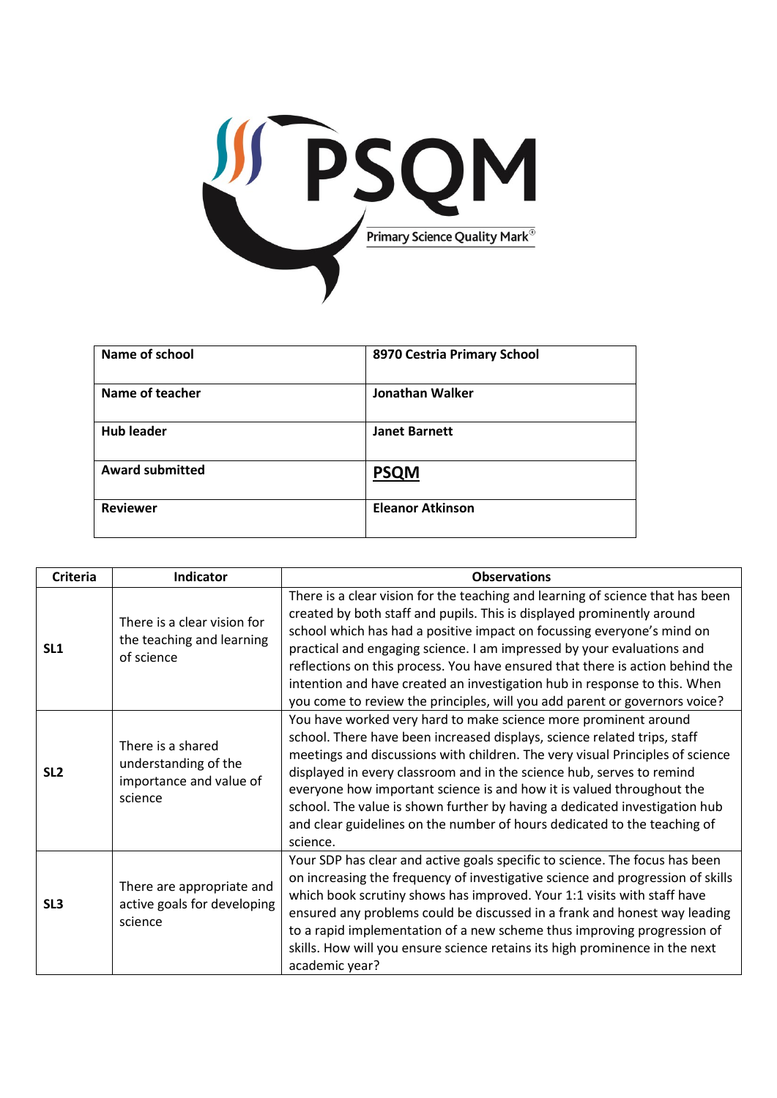

| Name of school         | 8970 Cestria Primary School |
|------------------------|-----------------------------|
| Name of teacher        | Jonathan Walker             |
| <b>Hub leader</b>      | <b>Janet Barnett</b>        |
| <b>Award submitted</b> | <b>PSQM</b>                 |
| <b>Reviewer</b>        | <b>Eleanor Atkinson</b>     |

| <b>Criteria</b> | Indicator                                                                       | <b>Observations</b>                                                                                                                                                                                                                                                                                                                                                                                                                                                                                                                                      |
|-----------------|---------------------------------------------------------------------------------|----------------------------------------------------------------------------------------------------------------------------------------------------------------------------------------------------------------------------------------------------------------------------------------------------------------------------------------------------------------------------------------------------------------------------------------------------------------------------------------------------------------------------------------------------------|
| SL <sub>1</sub> | There is a clear vision for<br>the teaching and learning<br>of science          | There is a clear vision for the teaching and learning of science that has been<br>created by both staff and pupils. This is displayed prominently around<br>school which has had a positive impact on focussing everyone's mind on<br>practical and engaging science. I am impressed by your evaluations and<br>reflections on this process. You have ensured that there is action behind the<br>intention and have created an investigation hub in response to this. When<br>you come to review the principles, will you add parent or governors voice? |
| SL <sub>2</sub> | There is a shared<br>understanding of the<br>importance and value of<br>science | You have worked very hard to make science more prominent around<br>school. There have been increased displays, science related trips, staff<br>meetings and discussions with children. The very visual Principles of science<br>displayed in every classroom and in the science hub, serves to remind<br>everyone how important science is and how it is valued throughout the<br>school. The value is shown further by having a dedicated investigation hub<br>and clear guidelines on the number of hours dedicated to the teaching of<br>science.     |
| SL <sub>3</sub> | There are appropriate and<br>active goals for developing<br>science             | Your SDP has clear and active goals specific to science. The focus has been<br>on increasing the frequency of investigative science and progression of skills<br>which book scrutiny shows has improved. Your 1:1 visits with staff have<br>ensured any problems could be discussed in a frank and honest way leading<br>to a rapid implementation of a new scheme thus improving progression of<br>skills. How will you ensure science retains its high prominence in the next<br>academic year?                                                        |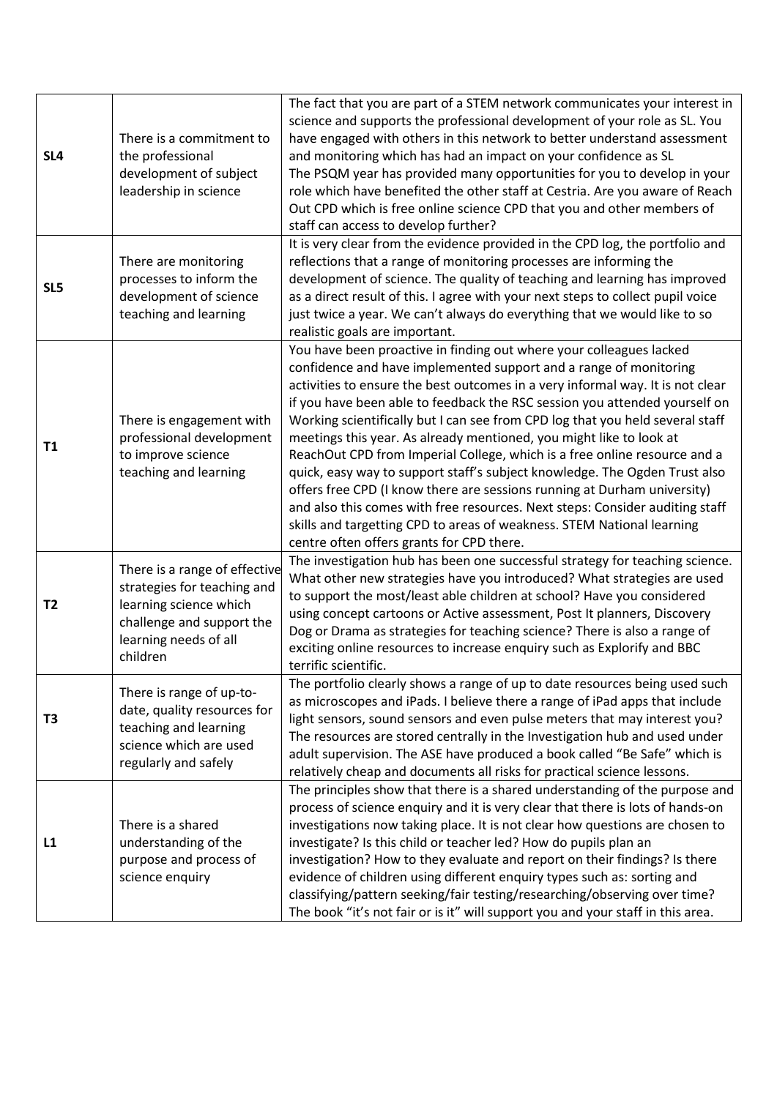| SL <sub>4</sub> | There is a commitment to<br>the professional<br>development of subject<br>leadership in science                                                          | The fact that you are part of a STEM network communicates your interest in<br>science and supports the professional development of your role as SL. You<br>have engaged with others in this network to better understand assessment<br>and monitoring which has had an impact on your confidence as SL<br>The PSQM year has provided many opportunities for you to develop in your<br>role which have benefited the other staff at Cestria. Are you aware of Reach<br>Out CPD which is free online science CPD that you and other members of<br>staff can access to develop further?                                                                                                                                                                                                                                                                                                                           |
|-----------------|----------------------------------------------------------------------------------------------------------------------------------------------------------|----------------------------------------------------------------------------------------------------------------------------------------------------------------------------------------------------------------------------------------------------------------------------------------------------------------------------------------------------------------------------------------------------------------------------------------------------------------------------------------------------------------------------------------------------------------------------------------------------------------------------------------------------------------------------------------------------------------------------------------------------------------------------------------------------------------------------------------------------------------------------------------------------------------|
| SL <sub>5</sub> | There are monitoring<br>processes to inform the<br>development of science<br>teaching and learning                                                       | It is very clear from the evidence provided in the CPD log, the portfolio and<br>reflections that a range of monitoring processes are informing the<br>development of science. The quality of teaching and learning has improved<br>as a direct result of this. I agree with your next steps to collect pupil voice<br>just twice a year. We can't always do everything that we would like to so<br>realistic goals are important.                                                                                                                                                                                                                                                                                                                                                                                                                                                                             |
| <b>T1</b>       | There is engagement with<br>professional development<br>to improve science<br>teaching and learning                                                      | You have been proactive in finding out where your colleagues lacked<br>confidence and have implemented support and a range of monitoring<br>activities to ensure the best outcomes in a very informal way. It is not clear<br>if you have been able to feedback the RSC session you attended yourself on<br>Working scientifically but I can see from CPD log that you held several staff<br>meetings this year. As already mentioned, you might like to look at<br>ReachOut CPD from Imperial College, which is a free online resource and a<br>quick, easy way to support staff's subject knowledge. The Ogden Trust also<br>offers free CPD (I know there are sessions running at Durham university)<br>and also this comes with free resources. Next steps: Consider auditing staff<br>skills and targetting CPD to areas of weakness. STEM National learning<br>centre often offers grants for CPD there. |
| T <sub>2</sub>  | There is a range of effective<br>strategies for teaching and<br>learning science which<br>challenge and support the<br>learning needs of all<br>children | The investigation hub has been one successful strategy for teaching science.<br>What other new strategies have you introduced? What strategies are used<br>to support the most/least able children at school? Have you considered<br>using concept cartoons or Active assessment, Post It planners, Discovery<br>Dog or Drama as strategies for teaching science? There is also a range of<br>exciting online resources to increase enquiry such as Explorify and BBC<br>terrific scientific.                                                                                                                                                                                                                                                                                                                                                                                                                  |
| T3              | There is range of up-to-<br>date, quality resources for<br>teaching and learning<br>science which are used<br>regularly and safely                       | The portfolio clearly shows a range of up to date resources being used such<br>as microscopes and iPads. I believe there a range of iPad apps that include<br>light sensors, sound sensors and even pulse meters that may interest you?<br>The resources are stored centrally in the Investigation hub and used under<br>adult supervision. The ASE have produced a book called "Be Safe" which is<br>relatively cheap and documents all risks for practical science lessons.                                                                                                                                                                                                                                                                                                                                                                                                                                  |
| L1              | There is a shared<br>understanding of the<br>purpose and process of<br>science enquiry                                                                   | The principles show that there is a shared understanding of the purpose and<br>process of science enquiry and it is very clear that there is lots of hands-on<br>investigations now taking place. It is not clear how questions are chosen to<br>investigate? Is this child or teacher led? How do pupils plan an<br>investigation? How to they evaluate and report on their findings? Is there<br>evidence of children using different enquiry types such as: sorting and<br>classifying/pattern seeking/fair testing/researching/observing over time?<br>The book "it's not fair or is it" will support you and your staff in this area.                                                                                                                                                                                                                                                                     |